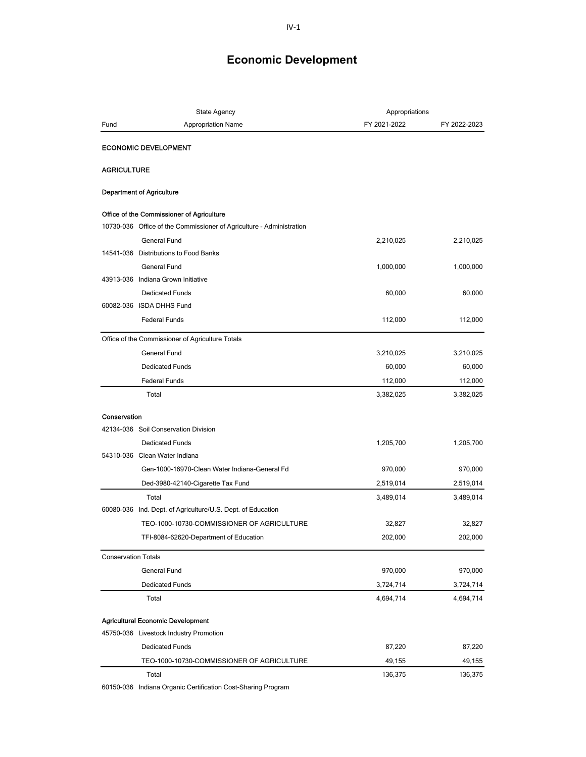| Fund<br><b>Appropriation Name</b><br>FY 2021-2022<br>FY 2022-2023<br><b>ECONOMIC DEVELOPMENT</b><br><b>AGRICULTURE</b><br><b>Department of Agriculture</b><br>Office of the Commissioner of Agriculture<br>10730-036 Office of the Commissioner of Agriculture - Administration<br><b>General Fund</b><br>2,210,025<br>2,210,025<br>14541-036 Distributions to Food Banks<br><b>General Fund</b><br>1,000,000<br>1,000,000<br>43913-036 Indiana Grown Initiative<br><b>Dedicated Funds</b><br>60,000<br>60,000<br>60082-036 ISDA DHHS Fund<br><b>Federal Funds</b><br>112,000<br>112,000<br>Office of the Commissioner of Agriculture Totals<br><b>General Fund</b><br>3,210,025<br>3,210,025<br><b>Dedicated Funds</b><br>60,000<br>60,000<br><b>Federal Funds</b><br>112,000<br>112,000<br>3,382,025<br>Total<br>3,382,025<br>Conservation<br>42134-036 Soil Conservation Division<br><b>Dedicated Funds</b><br>1,205,700<br>1,205,700<br>54310-036 Clean Water Indiana<br>Gen-1000-16970-Clean Water Indiana-General Fd<br>970,000<br>970,000<br>Ded-3980-42140-Cigarette Tax Fund<br>2,519,014<br>2,519,014<br>Total<br>3,489,014<br>3,489,014<br>60080-036 Ind. Dept. of Agriculture/U.S. Dept. of Education<br>TEO-1000-10730-COMMISSIONER OF AGRICULTURE<br>32,827<br>32,827<br>202,000<br>202,000<br>TFI-8084-62620-Department of Education<br><b>Conservation Totals</b><br>970,000<br>970,000<br>General Fund<br><b>Dedicated Funds</b><br>3,724,714<br>3,724,714<br>Total<br>4,694,714<br>4,694,714<br><b>Agricultural Economic Development</b><br>45750-036 Livestock Industry Promotion<br><b>Dedicated Funds</b><br>87,220<br>87,220<br>TEO-1000-10730-COMMISSIONER OF AGRICULTURE<br>49,155<br>49,155<br>136,375<br>136,375<br>Total | <b>State Agency</b> |  | Appropriations |  |
|-----------------------------------------------------------------------------------------------------------------------------------------------------------------------------------------------------------------------------------------------------------------------------------------------------------------------------------------------------------------------------------------------------------------------------------------------------------------------------------------------------------------------------------------------------------------------------------------------------------------------------------------------------------------------------------------------------------------------------------------------------------------------------------------------------------------------------------------------------------------------------------------------------------------------------------------------------------------------------------------------------------------------------------------------------------------------------------------------------------------------------------------------------------------------------------------------------------------------------------------------------------------------------------------------------------------------------------------------------------------------------------------------------------------------------------------------------------------------------------------------------------------------------------------------------------------------------------------------------------------------------------------------------------------------------------------------------------------------------------------------------|---------------------|--|----------------|--|
|                                                                                                                                                                                                                                                                                                                                                                                                                                                                                                                                                                                                                                                                                                                                                                                                                                                                                                                                                                                                                                                                                                                                                                                                                                                                                                                                                                                                                                                                                                                                                                                                                                                                                                                                                     |                     |  |                |  |
|                                                                                                                                                                                                                                                                                                                                                                                                                                                                                                                                                                                                                                                                                                                                                                                                                                                                                                                                                                                                                                                                                                                                                                                                                                                                                                                                                                                                                                                                                                                                                                                                                                                                                                                                                     |                     |  |                |  |
|                                                                                                                                                                                                                                                                                                                                                                                                                                                                                                                                                                                                                                                                                                                                                                                                                                                                                                                                                                                                                                                                                                                                                                                                                                                                                                                                                                                                                                                                                                                                                                                                                                                                                                                                                     |                     |  |                |  |
|                                                                                                                                                                                                                                                                                                                                                                                                                                                                                                                                                                                                                                                                                                                                                                                                                                                                                                                                                                                                                                                                                                                                                                                                                                                                                                                                                                                                                                                                                                                                                                                                                                                                                                                                                     |                     |  |                |  |
|                                                                                                                                                                                                                                                                                                                                                                                                                                                                                                                                                                                                                                                                                                                                                                                                                                                                                                                                                                                                                                                                                                                                                                                                                                                                                                                                                                                                                                                                                                                                                                                                                                                                                                                                                     |                     |  |                |  |
|                                                                                                                                                                                                                                                                                                                                                                                                                                                                                                                                                                                                                                                                                                                                                                                                                                                                                                                                                                                                                                                                                                                                                                                                                                                                                                                                                                                                                                                                                                                                                                                                                                                                                                                                                     |                     |  |                |  |
|                                                                                                                                                                                                                                                                                                                                                                                                                                                                                                                                                                                                                                                                                                                                                                                                                                                                                                                                                                                                                                                                                                                                                                                                                                                                                                                                                                                                                                                                                                                                                                                                                                                                                                                                                     |                     |  |                |  |
|                                                                                                                                                                                                                                                                                                                                                                                                                                                                                                                                                                                                                                                                                                                                                                                                                                                                                                                                                                                                                                                                                                                                                                                                                                                                                                                                                                                                                                                                                                                                                                                                                                                                                                                                                     |                     |  |                |  |
|                                                                                                                                                                                                                                                                                                                                                                                                                                                                                                                                                                                                                                                                                                                                                                                                                                                                                                                                                                                                                                                                                                                                                                                                                                                                                                                                                                                                                                                                                                                                                                                                                                                                                                                                                     |                     |  |                |  |
|                                                                                                                                                                                                                                                                                                                                                                                                                                                                                                                                                                                                                                                                                                                                                                                                                                                                                                                                                                                                                                                                                                                                                                                                                                                                                                                                                                                                                                                                                                                                                                                                                                                                                                                                                     |                     |  |                |  |
|                                                                                                                                                                                                                                                                                                                                                                                                                                                                                                                                                                                                                                                                                                                                                                                                                                                                                                                                                                                                                                                                                                                                                                                                                                                                                                                                                                                                                                                                                                                                                                                                                                                                                                                                                     |                     |  |                |  |
|                                                                                                                                                                                                                                                                                                                                                                                                                                                                                                                                                                                                                                                                                                                                                                                                                                                                                                                                                                                                                                                                                                                                                                                                                                                                                                                                                                                                                                                                                                                                                                                                                                                                                                                                                     |                     |  |                |  |
|                                                                                                                                                                                                                                                                                                                                                                                                                                                                                                                                                                                                                                                                                                                                                                                                                                                                                                                                                                                                                                                                                                                                                                                                                                                                                                                                                                                                                                                                                                                                                                                                                                                                                                                                                     |                     |  |                |  |
|                                                                                                                                                                                                                                                                                                                                                                                                                                                                                                                                                                                                                                                                                                                                                                                                                                                                                                                                                                                                                                                                                                                                                                                                                                                                                                                                                                                                                                                                                                                                                                                                                                                                                                                                                     |                     |  |                |  |
|                                                                                                                                                                                                                                                                                                                                                                                                                                                                                                                                                                                                                                                                                                                                                                                                                                                                                                                                                                                                                                                                                                                                                                                                                                                                                                                                                                                                                                                                                                                                                                                                                                                                                                                                                     |                     |  |                |  |
|                                                                                                                                                                                                                                                                                                                                                                                                                                                                                                                                                                                                                                                                                                                                                                                                                                                                                                                                                                                                                                                                                                                                                                                                                                                                                                                                                                                                                                                                                                                                                                                                                                                                                                                                                     |                     |  |                |  |
|                                                                                                                                                                                                                                                                                                                                                                                                                                                                                                                                                                                                                                                                                                                                                                                                                                                                                                                                                                                                                                                                                                                                                                                                                                                                                                                                                                                                                                                                                                                                                                                                                                                                                                                                                     |                     |  |                |  |
|                                                                                                                                                                                                                                                                                                                                                                                                                                                                                                                                                                                                                                                                                                                                                                                                                                                                                                                                                                                                                                                                                                                                                                                                                                                                                                                                                                                                                                                                                                                                                                                                                                                                                                                                                     |                     |  |                |  |
|                                                                                                                                                                                                                                                                                                                                                                                                                                                                                                                                                                                                                                                                                                                                                                                                                                                                                                                                                                                                                                                                                                                                                                                                                                                                                                                                                                                                                                                                                                                                                                                                                                                                                                                                                     |                     |  |                |  |
|                                                                                                                                                                                                                                                                                                                                                                                                                                                                                                                                                                                                                                                                                                                                                                                                                                                                                                                                                                                                                                                                                                                                                                                                                                                                                                                                                                                                                                                                                                                                                                                                                                                                                                                                                     |                     |  |                |  |
|                                                                                                                                                                                                                                                                                                                                                                                                                                                                                                                                                                                                                                                                                                                                                                                                                                                                                                                                                                                                                                                                                                                                                                                                                                                                                                                                                                                                                                                                                                                                                                                                                                                                                                                                                     |                     |  |                |  |
|                                                                                                                                                                                                                                                                                                                                                                                                                                                                                                                                                                                                                                                                                                                                                                                                                                                                                                                                                                                                                                                                                                                                                                                                                                                                                                                                                                                                                                                                                                                                                                                                                                                                                                                                                     |                     |  |                |  |
|                                                                                                                                                                                                                                                                                                                                                                                                                                                                                                                                                                                                                                                                                                                                                                                                                                                                                                                                                                                                                                                                                                                                                                                                                                                                                                                                                                                                                                                                                                                                                                                                                                                                                                                                                     |                     |  |                |  |
|                                                                                                                                                                                                                                                                                                                                                                                                                                                                                                                                                                                                                                                                                                                                                                                                                                                                                                                                                                                                                                                                                                                                                                                                                                                                                                                                                                                                                                                                                                                                                                                                                                                                                                                                                     |                     |  |                |  |
|                                                                                                                                                                                                                                                                                                                                                                                                                                                                                                                                                                                                                                                                                                                                                                                                                                                                                                                                                                                                                                                                                                                                                                                                                                                                                                                                                                                                                                                                                                                                                                                                                                                                                                                                                     |                     |  |                |  |
|                                                                                                                                                                                                                                                                                                                                                                                                                                                                                                                                                                                                                                                                                                                                                                                                                                                                                                                                                                                                                                                                                                                                                                                                                                                                                                                                                                                                                                                                                                                                                                                                                                                                                                                                                     |                     |  |                |  |
|                                                                                                                                                                                                                                                                                                                                                                                                                                                                                                                                                                                                                                                                                                                                                                                                                                                                                                                                                                                                                                                                                                                                                                                                                                                                                                                                                                                                                                                                                                                                                                                                                                                                                                                                                     |                     |  |                |  |
|                                                                                                                                                                                                                                                                                                                                                                                                                                                                                                                                                                                                                                                                                                                                                                                                                                                                                                                                                                                                                                                                                                                                                                                                                                                                                                                                                                                                                                                                                                                                                                                                                                                                                                                                                     |                     |  |                |  |
|                                                                                                                                                                                                                                                                                                                                                                                                                                                                                                                                                                                                                                                                                                                                                                                                                                                                                                                                                                                                                                                                                                                                                                                                                                                                                                                                                                                                                                                                                                                                                                                                                                                                                                                                                     |                     |  |                |  |
|                                                                                                                                                                                                                                                                                                                                                                                                                                                                                                                                                                                                                                                                                                                                                                                                                                                                                                                                                                                                                                                                                                                                                                                                                                                                                                                                                                                                                                                                                                                                                                                                                                                                                                                                                     |                     |  |                |  |
|                                                                                                                                                                                                                                                                                                                                                                                                                                                                                                                                                                                                                                                                                                                                                                                                                                                                                                                                                                                                                                                                                                                                                                                                                                                                                                                                                                                                                                                                                                                                                                                                                                                                                                                                                     |                     |  |                |  |
|                                                                                                                                                                                                                                                                                                                                                                                                                                                                                                                                                                                                                                                                                                                                                                                                                                                                                                                                                                                                                                                                                                                                                                                                                                                                                                                                                                                                                                                                                                                                                                                                                                                                                                                                                     |                     |  |                |  |
|                                                                                                                                                                                                                                                                                                                                                                                                                                                                                                                                                                                                                                                                                                                                                                                                                                                                                                                                                                                                                                                                                                                                                                                                                                                                                                                                                                                                                                                                                                                                                                                                                                                                                                                                                     |                     |  |                |  |
|                                                                                                                                                                                                                                                                                                                                                                                                                                                                                                                                                                                                                                                                                                                                                                                                                                                                                                                                                                                                                                                                                                                                                                                                                                                                                                                                                                                                                                                                                                                                                                                                                                                                                                                                                     |                     |  |                |  |
|                                                                                                                                                                                                                                                                                                                                                                                                                                                                                                                                                                                                                                                                                                                                                                                                                                                                                                                                                                                                                                                                                                                                                                                                                                                                                                                                                                                                                                                                                                                                                                                                                                                                                                                                                     |                     |  |                |  |
|                                                                                                                                                                                                                                                                                                                                                                                                                                                                                                                                                                                                                                                                                                                                                                                                                                                                                                                                                                                                                                                                                                                                                                                                                                                                                                                                                                                                                                                                                                                                                                                                                                                                                                                                                     |                     |  |                |  |
|                                                                                                                                                                                                                                                                                                                                                                                                                                                                                                                                                                                                                                                                                                                                                                                                                                                                                                                                                                                                                                                                                                                                                                                                                                                                                                                                                                                                                                                                                                                                                                                                                                                                                                                                                     |                     |  |                |  |
|                                                                                                                                                                                                                                                                                                                                                                                                                                                                                                                                                                                                                                                                                                                                                                                                                                                                                                                                                                                                                                                                                                                                                                                                                                                                                                                                                                                                                                                                                                                                                                                                                                                                                                                                                     |                     |  |                |  |

60150-036 Indiana Organic Certification Cost-Sharing Program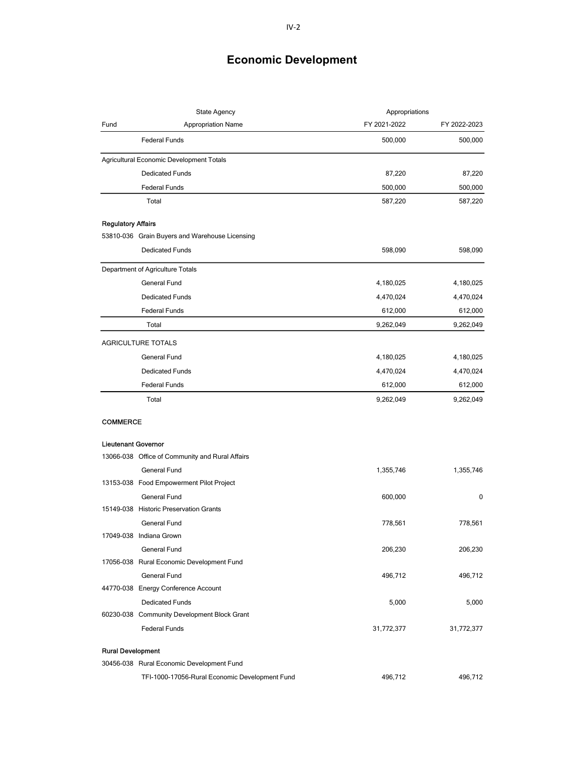| State Agency              |                                                 | Appropriations |              |
|---------------------------|-------------------------------------------------|----------------|--------------|
| Fund                      | <b>Appropriation Name</b>                       | FY 2021-2022   | FY 2022-2023 |
|                           | <b>Federal Funds</b>                            | 500,000        | 500,000      |
|                           | Agricultural Economic Development Totals        |                |              |
|                           | <b>Dedicated Funds</b>                          | 87,220         | 87,220       |
|                           | <b>Federal Funds</b>                            | 500,000        | 500,000      |
|                           | Total                                           | 587,220        | 587,220      |
| <b>Regulatory Affairs</b> |                                                 |                |              |
|                           | 53810-036 Grain Buyers and Warehouse Licensing  |                |              |
|                           | <b>Dedicated Funds</b>                          | 598,090        | 598,090      |
|                           | Department of Agriculture Totals                |                |              |
|                           | General Fund                                    | 4,180,025      | 4,180,025    |
|                           | <b>Dedicated Funds</b>                          | 4,470,024      | 4,470,024    |
|                           | <b>Federal Funds</b>                            | 612,000        | 612,000      |
|                           | Total                                           | 9,262,049      | 9,262,049    |
|                           | AGRICULTURE TOTALS                              |                |              |
|                           | General Fund                                    | 4,180,025      | 4,180,025    |
|                           | <b>Dedicated Funds</b>                          | 4,470,024      | 4,470,024    |
|                           | <b>Federal Funds</b>                            | 612,000        | 612,000      |
|                           | Total                                           | 9,262,049      | 9,262,049    |
| COMMERCE                  |                                                 |                |              |
|                           | <b>Lieutenant Governor</b>                      |                |              |
|                           | 13066-038 Office of Community and Rural Affairs |                |              |
|                           | General Fund                                    | 1,355,746      | 1,355,746    |
|                           | 13153-038 Food Empowerment Pilot Project        |                |              |
|                           | <b>General Fund</b>                             | 600,000        | 0            |
|                           | 15149-038 Historic Preservation Grants          |                |              |
|                           | General Fund                                    | 778,561        | 778,561      |
|                           | 17049-038 Indiana Grown                         |                |              |
|                           | General Fund                                    | 206,230        | 206,230      |
|                           | 17056-038 Rural Economic Development Fund       |                |              |
|                           | General Fund                                    | 496,712        | 496,712      |
|                           | 44770-038 Energy Conference Account             |                |              |
|                           | <b>Dedicated Funds</b>                          | 5,000          | 5,000        |
|                           | 60230-038 Community Development Block Grant     |                |              |
|                           | <b>Federal Funds</b>                            | 31,772,377     | 31,772,377   |
|                           | <b>Rural Development</b>                        |                |              |
|                           | 30456-038 Rural Economic Development Fund       |                |              |
|                           | TFI-1000-17056-Rural Economic Development Fund  | 496,712        | 496,712      |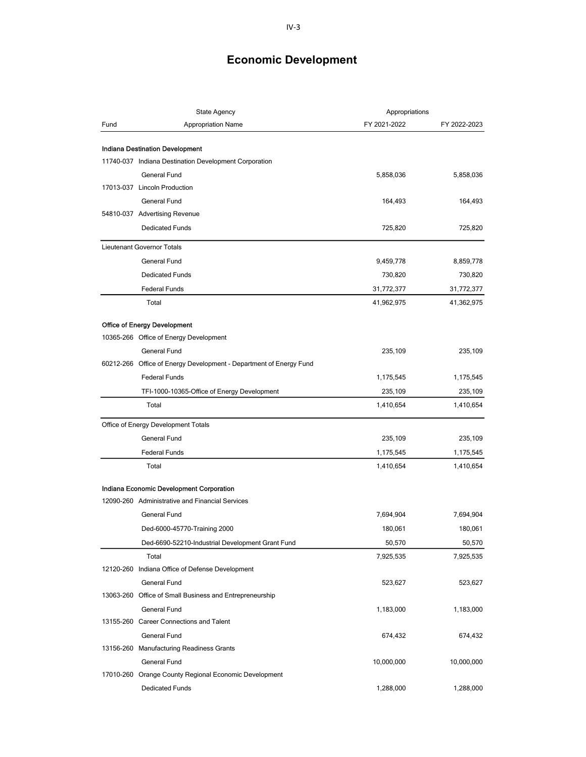| <b>State Agency</b> |                                                                    | Appropriations |              |
|---------------------|--------------------------------------------------------------------|----------------|--------------|
| Fund                | <b>Appropriation Name</b>                                          | FY 2021-2022   | FY 2022-2023 |
|                     |                                                                    |                |              |
|                     | Indiana Destination Development                                    |                |              |
|                     | 11740-037 Indiana Destination Development Corporation              |                |              |
|                     | General Fund                                                       | 5,858,036      | 5,858,036    |
|                     | 17013-037 Lincoln Production                                       |                |              |
|                     | General Fund                                                       | 164,493        | 164,493      |
|                     | 54810-037 Advertising Revenue                                      |                |              |
|                     | <b>Dedicated Funds</b>                                             | 725,820        | 725,820      |
|                     | Lieutenant Governor Totals                                         |                |              |
|                     | <b>General Fund</b>                                                | 9,459,778      | 8,859,778    |
|                     | <b>Dedicated Funds</b>                                             | 730,820        | 730,820      |
|                     | <b>Federal Funds</b>                                               | 31,772,377     | 31,772,377   |
|                     | Total                                                              | 41,962,975     | 41,362,975   |
|                     |                                                                    |                |              |
|                     | <b>Office of Energy Development</b>                                |                |              |
|                     | 10365-266 Office of Energy Development                             |                |              |
|                     | General Fund                                                       | 235,109        | 235,109      |
|                     | 60212-266 Office of Energy Development - Department of Energy Fund |                |              |
|                     | <b>Federal Funds</b>                                               | 1,175,545      | 1,175,545    |
|                     | TFI-1000-10365-Office of Energy Development                        | 235,109        | 235,109      |
|                     | Total                                                              | 1,410,654      | 1,410,654    |
|                     | Office of Energy Development Totals                                |                |              |
|                     | General Fund                                                       | 235,109        | 235,109      |
|                     | <b>Federal Funds</b>                                               | 1,175,545      | 1,175,545    |
|                     | Total                                                              | 1,410,654      | 1,410,654    |
|                     |                                                                    |                |              |
|                     | Indiana Economic Development Corporation                           |                |              |
|                     | 12090-260 Administrative and Financial Services                    |                |              |
|                     | General Fund                                                       | 7,694,904      | 7,694,904    |
|                     | Ded-6000-45770-Training 2000                                       | 180,061        | 180,061      |
|                     | Ded-6690-52210-Industrial Development Grant Fund                   | 50,570         | 50,570       |
|                     | Total                                                              | 7,925,535      | 7,925,535    |
|                     | 12120-260 Indiana Office of Defense Development                    |                |              |
|                     | General Fund                                                       | 523,627        | 523,627      |
|                     | 13063-260 Office of Small Business and Entrepreneurship            |                |              |
|                     | General Fund                                                       | 1,183,000      | 1,183,000    |
|                     | 13155-260 Career Connections and Talent                            |                |              |
|                     | <b>General Fund</b><br>13156-260 Manufacturing Readiness Grants    | 674,432        | 674,432      |
|                     | General Fund                                                       |                |              |
|                     | 17010-260 Orange County Regional Economic Development              | 10,000,000     | 10,000,000   |
|                     | <b>Dedicated Funds</b>                                             | 1,288,000      | 1,288,000    |
|                     |                                                                    |                |              |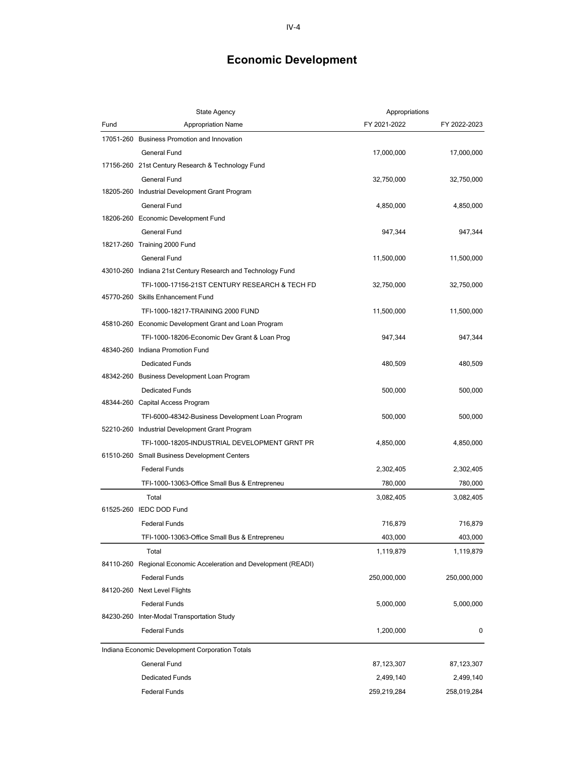|      | <b>State Agency</b>                                              | Appropriations |              |
|------|------------------------------------------------------------------|----------------|--------------|
| Fund | <b>Appropriation Name</b>                                        | FY 2021-2022   | FY 2022-2023 |
|      | 17051-260 Business Promotion and Innovation                      |                |              |
|      | <b>General Fund</b>                                              | 17,000,000     | 17,000,000   |
|      | 17156-260 21st Century Research & Technology Fund                |                |              |
|      | General Fund                                                     | 32,750,000     | 32,750,000   |
|      | 18205-260 Industrial Development Grant Program                   |                |              |
|      | General Fund                                                     | 4,850,000      | 4,850,000    |
|      | 18206-260 Economic Development Fund                              |                |              |
|      | General Fund                                                     | 947,344        | 947,344      |
|      | 18217-260 Training 2000 Fund                                     |                |              |
|      | General Fund                                                     | 11,500,000     | 11,500,000   |
|      | 43010-260 Indiana 21st Century Research and Technology Fund      |                |              |
|      | TFI-1000-17156-21ST CENTURY RESEARCH & TECH FD                   | 32,750,000     | 32,750,000   |
|      | 45770-260 Skills Enhancement Fund                                |                |              |
|      | TFI-1000-18217-TRAINING 2000 FUND                                | 11,500,000     | 11,500,000   |
|      | 45810-260 Economic Development Grant and Loan Program            |                |              |
|      | TFI-1000-18206-Economic Dev Grant & Loan Prog                    | 947,344        | 947,344      |
|      | 48340-260 Indiana Promotion Fund                                 |                |              |
|      | <b>Dedicated Funds</b>                                           | 480,509        | 480,509      |
|      | 48342-260 Business Development Loan Program                      |                |              |
|      | <b>Dedicated Funds</b>                                           | 500,000        | 500,000      |
|      | 48344-260 Capital Access Program                                 |                |              |
|      | TFI-6000-48342-Business Development Loan Program                 | 500,000        | 500,000      |
|      | 52210-260 Industrial Development Grant Program                   |                |              |
|      | TFI-1000-18205-INDUSTRIAL DEVELOPMENT GRNT PR                    | 4,850,000      | 4,850,000    |
|      | 61510-260 Small Business Development Centers                     |                |              |
|      | <b>Federal Funds</b>                                             | 2,302,405      | 2,302,405    |
|      | TFI-1000-13063-Office Small Bus & Entrepreneu                    | 780,000        | 780,000      |
|      | Total                                                            | 3,082,405      | 3,082,405    |
|      | 61525-260 IEDC DOD Fund                                          |                |              |
|      | <b>Federal Funds</b>                                             | 716,879        | 716,879      |
|      | TFI-1000-13063-Office Small Bus & Entrepreneu                    | 403,000        | 403,000      |
|      | Total                                                            | 1,119,879      | 1,119,879    |
|      | 84110-260 Regional Economic Acceleration and Development (READI) |                |              |
|      | <b>Federal Funds</b>                                             | 250,000,000    | 250,000,000  |
|      | 84120-260 Next Level Flights                                     |                |              |
|      | <b>Federal Funds</b>                                             | 5,000,000      | 5,000,000    |
|      | 84230-260 Inter-Modal Transportation Study                       |                |              |
|      | <b>Federal Funds</b>                                             | 1,200,000      | 0            |
|      | Indiana Economic Development Corporation Totals                  |                |              |
|      | General Fund                                                     | 87,123,307     | 87,123,307   |
|      |                                                                  |                |              |
|      | <b>Dedicated Funds</b>                                           | 2,499,140      | 2,499,140    |
|      | <b>Federal Funds</b>                                             | 259,219,284    | 258,019,284  |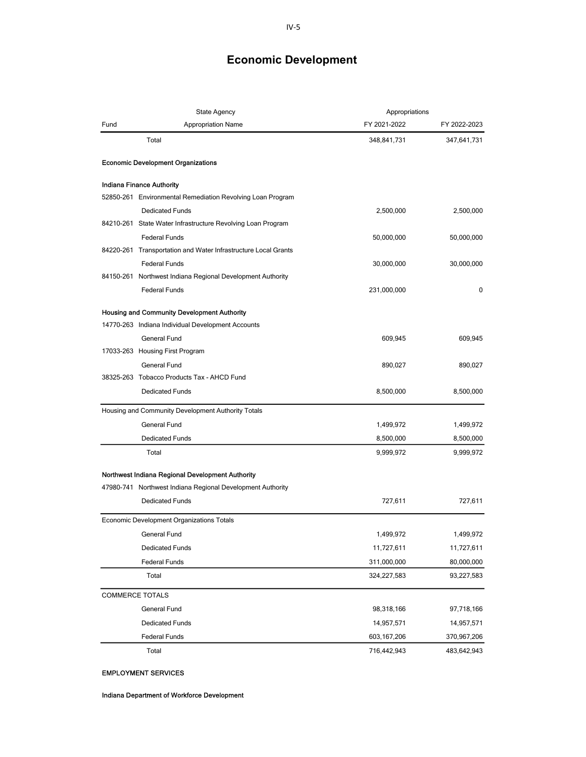|      | <b>State Agency</b>                                            | Appropriations |              |
|------|----------------------------------------------------------------|----------------|--------------|
| Fund | Appropriation Name                                             | FY 2021-2022   | FY 2022-2023 |
|      | Total                                                          | 348,841,731    | 347,641,731  |
|      | <b>Economic Development Organizations</b>                      |                |              |
|      | <b>Indiana Finance Authority</b>                               |                |              |
|      | 52850-261 Environmental Remediation Revolving Loan Program     |                |              |
|      | <b>Dedicated Funds</b>                                         | 2,500,000      | 2,500,000    |
|      | 84210-261 State Water Infrastructure Revolving Loan Program    |                |              |
|      | <b>Federal Funds</b>                                           | 50,000,000     | 50,000,000   |
|      | 84220-261 Transportation and Water Infrastructure Local Grants |                |              |
|      | <b>Federal Funds</b>                                           | 30,000,000     | 30,000,000   |
|      | 84150-261 Northwest Indiana Regional Development Authority     |                |              |
|      | <b>Federal Funds</b>                                           | 231,000,000    | 0            |
|      | <b>Housing and Community Development Authority</b>             |                |              |
|      | 14770-263 Indiana Individual Development Accounts              |                |              |
|      | General Fund                                                   | 609,945        | 609,945      |
|      | 17033-263 Housing First Program                                |                |              |
|      | General Fund                                                   | 890,027        | 890,027      |
|      | 38325-263 Tobacco Products Tax - AHCD Fund                     |                |              |
|      | <b>Dedicated Funds</b>                                         | 8,500,000      | 8,500,000    |
|      | Housing and Community Development Authority Totals             |                |              |
|      | General Fund                                                   | 1,499,972      | 1,499,972    |
|      | <b>Dedicated Funds</b>                                         | 8,500,000      | 8,500,000    |
|      | Total                                                          | 9,999,972      | 9,999,972    |
|      | Northwest Indiana Regional Development Authority               |                |              |
|      | 47980-741 Northwest Indiana Regional Development Authority     |                |              |
|      | <b>Dedicated Funds</b>                                         | 727,611        | 727,611      |
|      | Economic Development Organizations Totals                      |                |              |
|      | General Fund                                                   | 1,499,972      | 1,499,972    |
|      | <b>Dedicated Funds</b>                                         | 11,727,611     | 11,727,611   |
|      | <b>Federal Funds</b>                                           | 311,000,000    | 80,000,000   |
|      | Total                                                          | 324,227,583    | 93,227,583   |
|      | <b>COMMERCE TOTALS</b>                                         |                |              |
|      | General Fund                                                   | 98,318,166     | 97,718,166   |
|      | <b>Dedicated Funds</b>                                         | 14,957,571     | 14,957,571   |
|      | <b>Federal Funds</b>                                           | 603,167,206    | 370,967,206  |
|      | Total                                                          | 716,442,943    | 483,642,943  |

## **EMPLOYMENT SERVICES**

Indiana Department of Workforce Development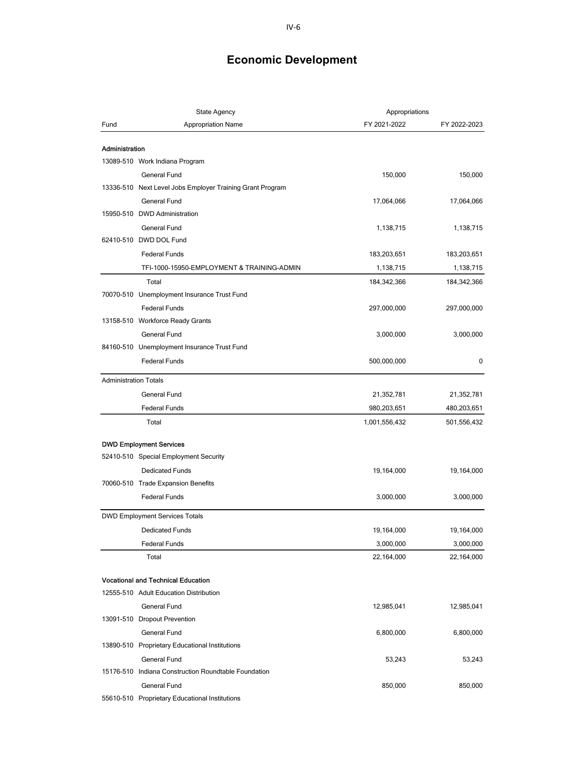| <b>State Agency</b>          |                                                                                     | Appropriations |              |
|------------------------------|-------------------------------------------------------------------------------------|----------------|--------------|
| Fund                         | <b>Appropriation Name</b>                                                           | FY 2021-2022   | FY 2022-2023 |
| Administration               |                                                                                     |                |              |
|                              | 13089-510 Work Indiana Program                                                      |                |              |
|                              | General Fund                                                                        | 150,000        | 150,000      |
|                              | 13336-510 Next Level Jobs Employer Training Grant Program                           |                |              |
|                              | <b>General Fund</b>                                                                 | 17,064,066     | 17,064,066   |
|                              | 15950-510 DWD Administration                                                        |                |              |
|                              | General Fund                                                                        | 1,138,715      | 1,138,715    |
|                              | 62410-510 DWD DOL Fund                                                              |                |              |
|                              | <b>Federal Funds</b>                                                                | 183,203,651    | 183,203,651  |
|                              | TFI-1000-15950-EMPLOYMENT & TRAINING-ADMIN                                          | 1,138,715      | 1,138,715    |
|                              | Total                                                                               | 184,342,366    | 184,342,366  |
|                              | 70070-510 Unemployment Insurance Trust Fund                                         |                |              |
|                              | <b>Federal Funds</b>                                                                | 297,000,000    | 297,000,000  |
|                              | 13158-510 Workforce Ready Grants                                                    |                |              |
|                              | General Fund                                                                        | 3,000,000      | 3,000,000    |
|                              | 84160-510 Unemployment Insurance Trust Fund                                         |                |              |
|                              | <b>Federal Funds</b>                                                                | 500,000,000    | 0            |
|                              |                                                                                     |                |              |
| <b>Administration Totals</b> |                                                                                     |                |              |
|                              | General Fund                                                                        | 21,352,781     | 21,352,781   |
|                              | <b>Federal Funds</b>                                                                | 980,203,651    | 480,203,651  |
|                              | Total                                                                               | 1,001,556,432  | 501,556,432  |
|                              | <b>DWD Employment Services</b>                                                      |                |              |
|                              | 52410-510 Special Employment Security                                               |                |              |
|                              | <b>Dedicated Funds</b>                                                              | 19,164,000     | 19,164,000   |
|                              | 70060-510 Trade Expansion Benefits                                                  |                |              |
|                              | <b>Federal Funds</b>                                                                | 3,000,000      | 3,000,000    |
|                              | <b>DWD Employment Services Totals</b>                                               |                |              |
|                              | <b>Dedicated Funds</b>                                                              | 19,164,000     | 19,164,000   |
|                              | <b>Federal Funds</b>                                                                | 3,000,000      | 3,000,000    |
|                              | Total                                                                               | 22,164,000     | 22,164,000   |
|                              |                                                                                     |                |              |
|                              | <b>Vocational and Technical Education</b><br>12555-510 Adult Education Distribution |                |              |
|                              |                                                                                     |                |              |
|                              | General Fund                                                                        | 12,985,041     | 12,985,041   |
|                              | 13091-510 Dropout Prevention                                                        |                |              |
|                              | <b>General Fund</b>                                                                 | 6,800,000      | 6,800,000    |
|                              | 13890-510 Proprietary Educational Institutions                                      |                |              |
|                              | General Fund                                                                        | 53,243         | 53,243       |
|                              | 15176-510 Indiana Construction Roundtable Foundation                                |                |              |
|                              | General Fund                                                                        | 850,000        | 850,000      |
|                              | 55610-510 Proprietary Educational Institutions                                      |                |              |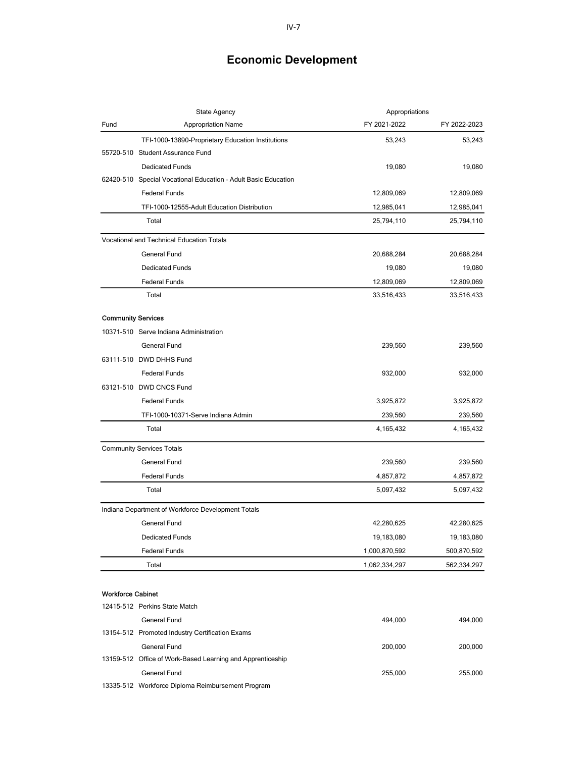| <b>State Agency</b>       |                                                                | Appropriations |              |
|---------------------------|----------------------------------------------------------------|----------------|--------------|
| Fund                      | <b>Appropriation Name</b>                                      | FY 2021-2022   | FY 2022-2023 |
|                           | TFI-1000-13890-Proprietary Education Institutions              | 53,243         | 53,243       |
|                           | 55720-510 Student Assurance Fund                               |                |              |
|                           | <b>Dedicated Funds</b>                                         | 19,080         | 19,080       |
|                           | 62420-510 Special Vocational Education - Adult Basic Education |                |              |
|                           | <b>Federal Funds</b>                                           | 12,809,069     | 12,809,069   |
|                           | TFI-1000-12555-Adult Education Distribution                    | 12,985,041     | 12,985,041   |
|                           | Total                                                          | 25,794,110     | 25,794,110   |
|                           | Vocational and Technical Education Totals                      |                |              |
|                           | General Fund                                                   | 20,688,284     | 20,688,284   |
|                           | <b>Dedicated Funds</b>                                         | 19,080         | 19,080       |
|                           | <b>Federal Funds</b>                                           | 12,809,069     | 12,809,069   |
|                           | Total                                                          | 33,516,433     | 33,516,433   |
| <b>Community Services</b> |                                                                |                |              |
|                           | 10371-510 Serve Indiana Administration                         |                |              |
|                           | General Fund                                                   | 239,560        | 239,560      |
|                           | 63111-510 DWD DHHS Fund                                        |                |              |
|                           | <b>Federal Funds</b>                                           | 932,000        | 932,000      |
|                           | 63121-510 DWD CNCS Fund                                        |                |              |
|                           | <b>Federal Funds</b>                                           | 3,925,872      | 3,925,872    |
|                           | TFI-1000-10371-Serve Indiana Admin                             | 239,560        | 239,560      |
|                           | Total                                                          | 4,165,432      | 4,165,432    |
|                           | <b>Community Services Totals</b>                               |                |              |
|                           | General Fund                                                   | 239,560        | 239,560      |
|                           | <b>Federal Funds</b>                                           | 4,857,872      | 4,857,872    |
|                           | Total                                                          | 5,097,432      | 5,097,432    |
|                           | Indiana Department of Workforce Development Totals             |                |              |
|                           | General Fund                                                   | 42,280,625     | 42,280,625   |
|                           | Dedicated Funds                                                | 19,183,080     | 19,183,080   |
|                           | <b>Federal Funds</b>                                           | 1,000,870,592  | 500,870,592  |
|                           | Total                                                          | 1,062,334,297  | 562,334,297  |
|                           |                                                                |                |              |
| <b>Workforce Cabinet</b>  |                                                                |                |              |
|                           | 12415-512 Perkins State Match                                  |                |              |
|                           | General Fund                                                   | 494,000        | 494,000      |
|                           | 13154-512 Promoted Industry Certification Exams                |                |              |
|                           | <b>General Fund</b>                                            | 200,000        | 200,000      |
|                           | 13159-512 Office of Work-Based Learning and Apprenticeship     |                |              |
|                           | General Fund                                                   | 255,000        | 255,000      |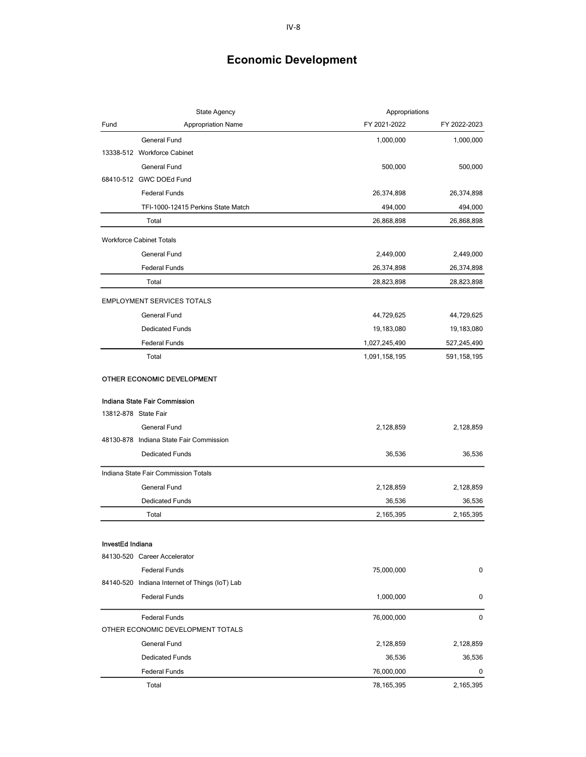| <b>State Agency</b>  |                                                | Appropriations |              |
|----------------------|------------------------------------------------|----------------|--------------|
| Fund                 | <b>Appropriation Name</b>                      | FY 2021-2022   | FY 2022-2023 |
|                      | General Fund                                   | 1,000,000      | 1,000,000    |
|                      | 13338-512 Workforce Cabinet                    |                |              |
|                      | General Fund                                   | 500,000        | 500,000      |
|                      | 68410-512 GWC DOEd Fund                        |                |              |
|                      | <b>Federal Funds</b>                           | 26,374,898     | 26,374,898   |
|                      | TFI-1000-12415 Perkins State Match             | 494,000        | 494,000      |
|                      | Total                                          | 26,868,898     | 26,868,898   |
|                      | <b>Workforce Cabinet Totals</b>                |                |              |
|                      | General Fund                                   | 2,449,000      | 2,449,000    |
|                      | <b>Federal Funds</b>                           | 26,374,898     | 26,374,898   |
|                      | Total                                          | 28,823,898     | 28,823,898   |
|                      | <b>EMPLOYMENT SERVICES TOTALS</b>              |                |              |
|                      | General Fund                                   | 44,729,625     | 44,729,625   |
|                      | <b>Dedicated Funds</b>                         | 19,183,080     | 19,183,080   |
|                      | <b>Federal Funds</b>                           | 1,027,245,490  | 527,245,490  |
|                      | Total                                          | 1,091,158,195  | 591,158,195  |
|                      | OTHER ECONOMIC DEVELOPMENT                     |                |              |
|                      | Indiana State Fair Commission                  |                |              |
| 13812-878 State Fair |                                                |                |              |
|                      | General Fund                                   | 2,128,859      | 2,128,859    |
|                      | 48130-878 Indiana State Fair Commission        |                |              |
|                      | <b>Dedicated Funds</b>                         | 36,536         | 36,536       |
|                      | Indiana State Fair Commission Totals           |                |              |
|                      | General Fund                                   | 2,128,859      | 2,128,859    |
|                      | <b>Dedicated Funds</b>                         | 36,536         | 36,536       |
|                      | Total                                          | 2,165,395      | 2,165,395    |
|                      |                                                |                |              |
| InvestEd Indiana     |                                                |                |              |
|                      | 84130-520 Career Accelerator                   |                |              |
|                      | <b>Federal Funds</b>                           | 75,000,000     | 0            |
|                      | 84140-520 Indiana Internet of Things (IoT) Lab |                |              |
|                      | <b>Federal Funds</b>                           | 1,000,000      | 0            |
|                      | <b>Federal Funds</b>                           | 76,000,000     | 0            |
|                      | OTHER ECONOMIC DEVELOPMENT TOTALS              |                |              |
|                      | General Fund                                   | 2,128,859      | 2,128,859    |
|                      | <b>Dedicated Funds</b>                         | 36,536         | 36,536       |
|                      | <b>Federal Funds</b>                           | 76,000,000     | 0            |
|                      | Total                                          | 78,165,395     | 2,165,395    |